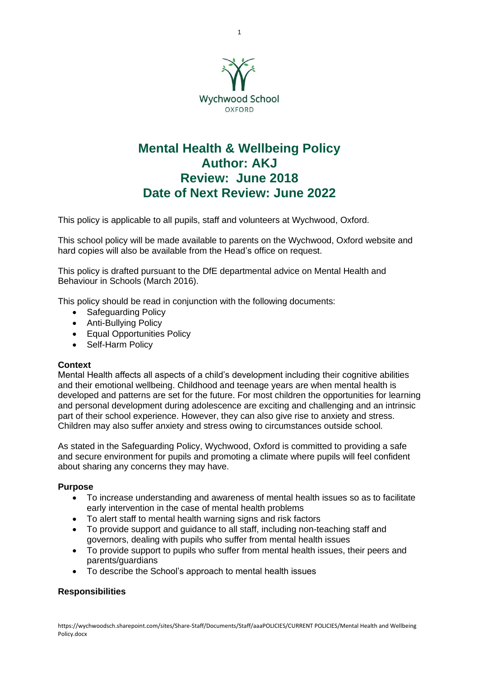

# **Mental Health & Wellbeing Policy Author: AKJ Review: June 2018 Date of Next Review: June 2022**

This policy is applicable to all pupils, staff and volunteers at Wychwood, Oxford.

This school policy will be made available to parents on the Wychwood, Oxford website and hard copies will also be available from the Head's office on request.

This policy is drafted pursuant to the DfE departmental advice on Mental Health and Behaviour in Schools (March 2016).

This policy should be read in conjunction with the following documents:

- Safeguarding Policy
- Anti-Bullying Policy
- Equal Opportunities Policy
- Self-Harm Policy

# **Context**

Mental Health affects all aspects of a child's development including their cognitive abilities and their emotional wellbeing. Childhood and teenage years are when mental health is developed and patterns are set for the future. For most children the opportunities for learning and personal development during adolescence are exciting and challenging and an intrinsic part of their school experience. However, they can also give rise to anxiety and stress. Children may also suffer anxiety and stress owing to circumstances outside school.

As stated in the Safeguarding Policy, Wychwood, Oxford is committed to providing a safe and secure environment for pupils and promoting a climate where pupils will feel confident about sharing any concerns they may have.

### **Purpose**

- To increase understanding and awareness of mental health issues so as to facilitate early intervention in the case of mental health problems
- To alert staff to mental health warning signs and risk factors
- To provide support and guidance to all staff, including non-teaching staff and governors, dealing with pupils who suffer from mental health issues
- To provide support to pupils who suffer from mental health issues, their peers and parents/guardians
- To describe the School's approach to mental health issues

# **Responsibilities**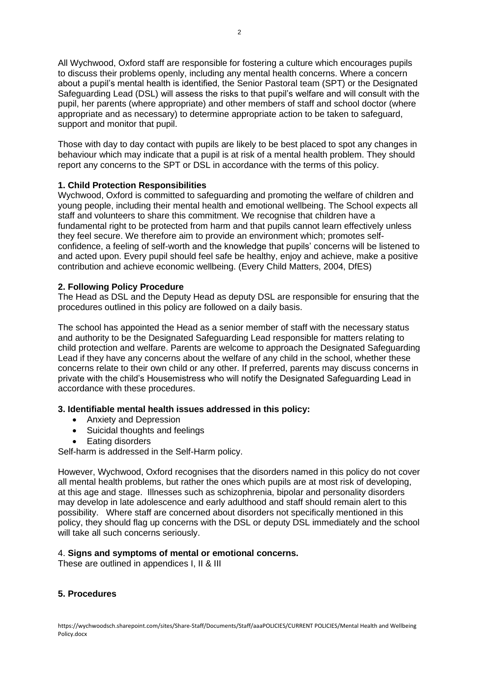All Wychwood, Oxford staff are responsible for fostering a culture which encourages pupils to discuss their problems openly, including any mental health concerns. Where a concern about a pupil's mental health is identified, the Senior Pastoral team (SPT) or the Designated Safeguarding Lead (DSL) will assess the risks to that pupil's welfare and will consult with the pupil, her parents (where appropriate) and other members of staff and school doctor (where appropriate and as necessary) to determine appropriate action to be taken to safeguard, support and monitor that pupil.

Those with day to day contact with pupils are likely to be best placed to spot any changes in behaviour which may indicate that a pupil is at risk of a mental health problem. They should report any concerns to the SPT or DSL in accordance with the terms of this policy.

# **1. Child Protection Responsibilities**

Wychwood, Oxford is committed to safeguarding and promoting the welfare of children and young people, including their mental health and emotional wellbeing. The School expects all staff and volunteers to share this commitment. We recognise that children have a fundamental right to be protected from harm and that pupils cannot learn effectively unless they feel secure. We therefore aim to provide an environment which; promotes selfconfidence, a feeling of self-worth and the knowledge that pupils' concerns will be listened to and acted upon. Every pupil should feel safe be healthy, enjoy and achieve, make a positive contribution and achieve economic wellbeing. (Every Child Matters, 2004, DfES)

### **2. Following Policy Procedure**

The Head as DSL and the Deputy Head as deputy DSL are responsible for ensuring that the procedures outlined in this policy are followed on a daily basis.

The school has appointed the Head as a senior member of staff with the necessary status and authority to be the Designated Safeguarding Lead responsible for matters relating to child protection and welfare. Parents are welcome to approach the Designated Safeguarding Lead if they have any concerns about the welfare of any child in the school, whether these concerns relate to their own child or any other. If preferred, parents may discuss concerns in private with the child's Housemistress who will notify the Designated Safeguarding Lead in accordance with these procedures.

# **3. Identifiable mental health issues addressed in this policy:**

- Anxiety and Depression
- Suicidal thoughts and feelings
- Eating disorders

Self-harm is addressed in the Self-Harm policy.

However, Wychwood, Oxford recognises that the disorders named in this policy do not cover all mental health problems, but rather the ones which pupils are at most risk of developing, at this age and stage. Illnesses such as schizophrenia, bipolar and personality disorders may develop in late adolescence and early adulthood and staff should remain alert to this possibility. Where staff are concerned about disorders not specifically mentioned in this policy, they should flag up concerns with the DSL or deputy DSL immediately and the school will take all such concerns seriously.

### 4. **Signs and symptoms of mental or emotional concerns.**

These are outlined in appendices I, II & III

# **5. Procedures**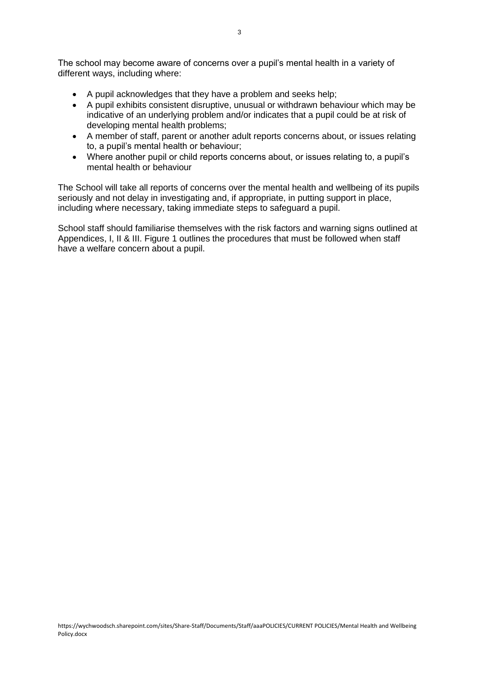The school may become aware of concerns over a pupil's mental health in a variety of different ways, including where:

- A pupil acknowledges that they have a problem and seeks help;
- A pupil exhibits consistent disruptive, unusual or withdrawn behaviour which may be indicative of an underlying problem and/or indicates that a pupil could be at risk of developing mental health problems;
- A member of staff, parent or another adult reports concerns about, or issues relating to, a pupil's mental health or behaviour;
- Where another pupil or child reports concerns about, or issues relating to, a pupil's mental health or behaviour

The School will take all reports of concerns over the mental health and wellbeing of its pupils seriously and not delay in investigating and, if appropriate, in putting support in place, including where necessary, taking immediate steps to safeguard a pupil.

School staff should familiarise themselves with the risk factors and warning signs outlined at Appendices, I, II & III. Figure 1 outlines the procedures that must be followed when staff have a welfare concern about a pupil.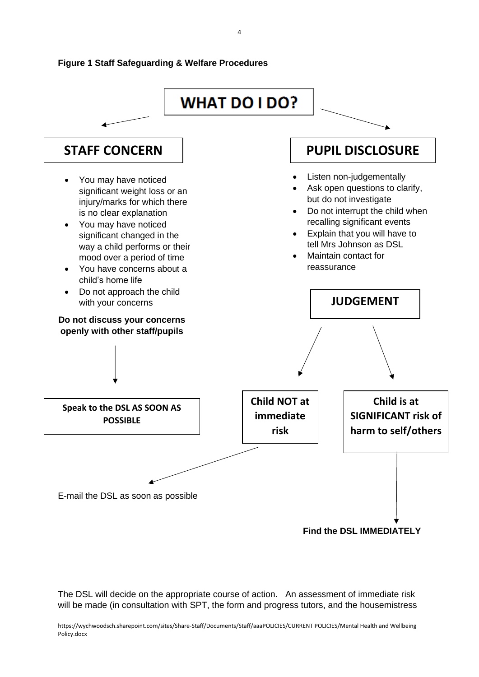

The DSL will decide on the appropriate course of action. An assessment of immediate risk will be made (in consultation with SPT, the form and progress tutors, and the housemistress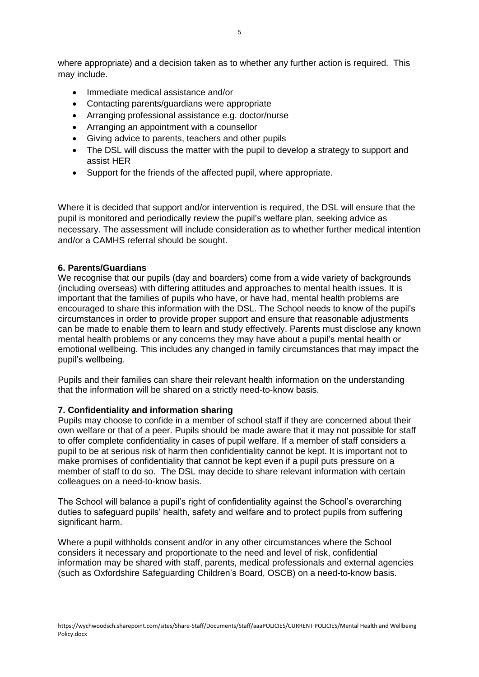where appropriate) and a decision taken as to whether any further action is required. This may include.

- Immediate medical assistance and/or
- Contacting parents/guardians were appropriate
- Arranging professional assistance e.g. doctor/nurse
- Arranging an appointment with a counsellor
- Giving advice to parents, teachers and other pupils
- The DSL will discuss the matter with the pupil to develop a strategy to support and assist HER
- Support for the friends of the affected pupil, where appropriate.

Where it is decided that support and/or intervention is required, the DSL will ensure that the pupil is monitored and periodically review the pupil's welfare plan, seeking advice as necessary. The assessment will include consideration as to whether further medical intention and/or a CAMHS referral should be sought.

### **6. Parents/Guardians**

We recognise that our pupils (day and boarders) come from a wide variety of backgrounds (including overseas) with differing attitudes and approaches to mental health issues. It is important that the families of pupils who have, or have had, mental health problems are encouraged to share this information with the DSL. The School needs to know of the pupil's circumstances in order to provide proper support and ensure that reasonable adjustments can be made to enable them to learn and study effectively. Parents must disclose any known mental health problems or any concerns they may have about a pupil's mental health or emotional wellbeing. This includes any changed in family circumstances that may impact the pupil's wellbeing.

Pupils and their families can share their relevant health information on the understanding that the information will be shared on a strictly need-to-know basis.

### **7. Confidentiality and information sharing**

Pupils may choose to confide in a member of school staff if they are concerned about their own welfare or that of a peer. Pupils should be made aware that it may not possible for staff to offer complete confidentiality in cases of pupil welfare. If a member of staff considers a pupil to be at serious risk of harm then confidentiality cannot be kept. It is important not to make promises of confidentiality that cannot be kept even if a pupil puts pressure on a member of staff to do so. The DSL may decide to share relevant information with certain colleagues on a need-to-know basis.

The School will balance a pupil's right of confidentiality against the School's overarching duties to safeguard pupils' health, safety and welfare and to protect pupils from suffering significant harm.

Where a pupil withholds consent and/or in any other circumstances where the School considers it necessary and proportionate to the need and level of risk, confidential information may be shared with staff, parents, medical professionals and external agencies (such as Oxfordshire Safeguarding Children's Board, OSCB) on a need-to-know basis.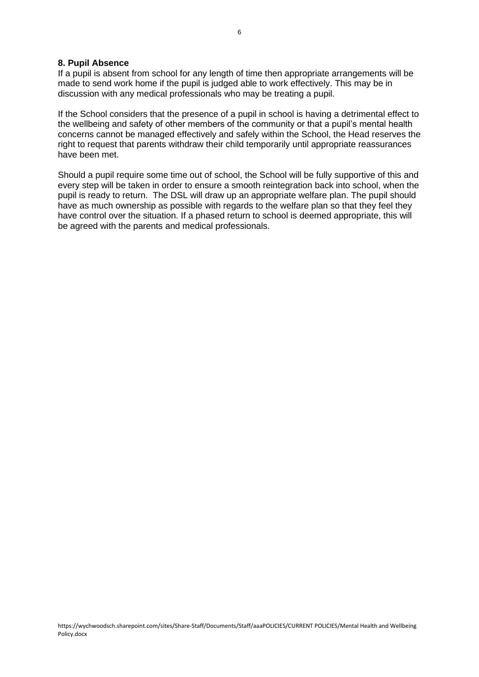#### **8. Pupil Absence**

If a pupil is absent from school for any length of time then appropriate arrangements will be made to send work home if the pupil is judged able to work effectively. This may be in discussion with any medical professionals who may be treating a pupil.

If the School considers that the presence of a pupil in school is having a detrimental effect to the wellbeing and safety of other members of the community or that a pupil's mental health concerns cannot be managed effectively and safely within the School, the Head reserves the right to request that parents withdraw their child temporarily until appropriate reassurances have been met.

Should a pupil require some time out of school, the School will be fully supportive of this and every step will be taken in order to ensure a smooth reintegration back into school, when the pupil is ready to return. The DSL will draw up an appropriate welfare plan. The pupil should have as much ownership as possible with regards to the welfare plan so that they feel they have control over the situation. If a phased return to school is deemed appropriate, this will be agreed with the parents and medical professionals.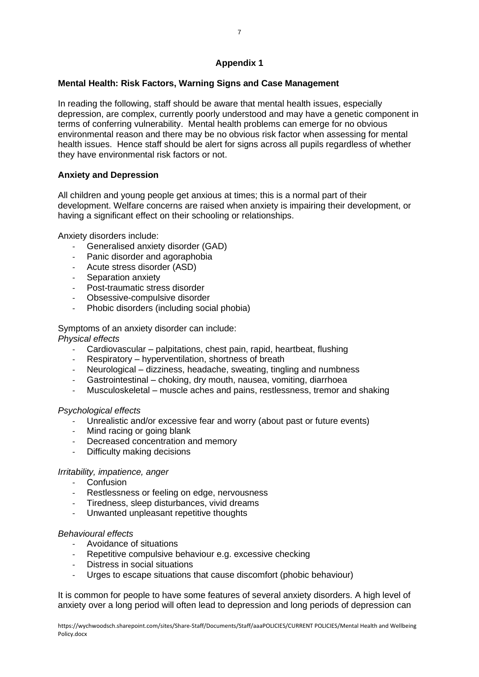# **Appendix 1**

# **Mental Health: Risk Factors, Warning Signs and Case Management**

In reading the following, staff should be aware that mental health issues, especially depression, are complex, currently poorly understood and may have a genetic component in terms of conferring vulnerability. Mental health problems can emerge for no obvious environmental reason and there may be no obvious risk factor when assessing for mental health issues. Hence staff should be alert for signs across all pupils regardless of whether they have environmental risk factors or not.

# **Anxiety and Depression**

All children and young people get anxious at times; this is a normal part of their development. Welfare concerns are raised when anxiety is impairing their development, or having a significant effect on their schooling or relationships.

Anxiety disorders include:

- Generalised anxiety disorder (GAD)
- Panic disorder and agoraphobia
- Acute stress disorder (ASD)
- Separation anxiety
- Post-traumatic stress disorder
- Obsessive-compulsive disorder
- Phobic disorders (including social phobia)

Symptoms of an anxiety disorder can include: *Physical effects* 

- Cardiovascular palpitations, chest pain, rapid, heartbeat, flushing
- Respiratory hyperventilation, shortness of breath
- Neurological dizziness, headache, sweating, tingling and numbness
- Gastrointestinal choking, dry mouth, nausea, vomiting, diarrhoea
- Musculoskeletal muscle aches and pains, restlessness, tremor and shaking

# *Psychological effects*

- Unrealistic and/or excessive fear and worry (about past or future events)
- Mind racing or going blank
- Decreased concentration and memory
- Difficulty making decisions

# *Irritability, impatience, anger*

- Confusion
- Restlessness or feeling on edge, nervousness
- Tiredness, sleep disturbances, vivid dreams
- Unwanted unpleasant repetitive thoughts

# *Behavioural effects*

- Avoidance of situations
- Repetitive compulsive behaviour e.g. excessive checking
- Distress in social situations
- Urges to escape situations that cause discomfort (phobic behaviour)

It is common for people to have some features of several anxiety disorders. A high level of anxiety over a long period will often lead to depression and long periods of depression can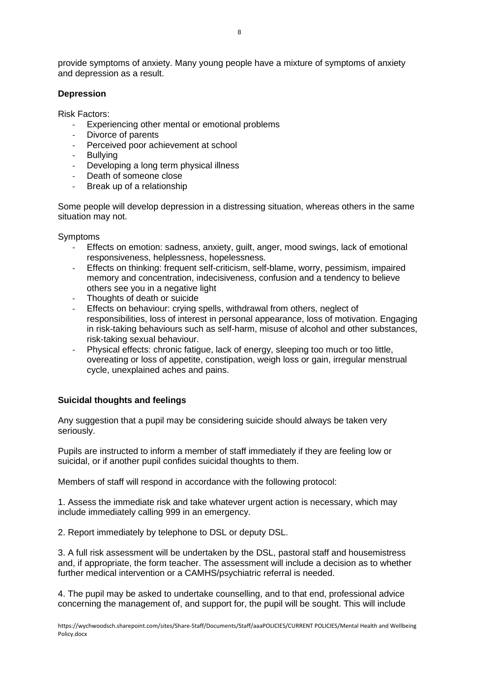provide symptoms of anxiety. Many young people have a mixture of symptoms of anxiety and depression as a result.

### **Depression**

Risk Factors:

- Experiencing other mental or emotional problems<br>- Divorce of parents
- Divorce of parents
- Perceived poor achievement at school
- Bullying
- Developing a long term physical illness
- Death of someone close
- Break up of a relationship

Some people will develop depression in a distressing situation, whereas others in the same situation may not.

**Symptoms** 

- Effects on emotion: sadness, anxiety, guilt, anger, mood swings, lack of emotional responsiveness, helplessness, hopelessness.
- Effects on thinking: frequent self-criticism, self-blame, worry, pessimism, impaired memory and concentration, indecisiveness, confusion and a tendency to believe others see you in a negative light
- Thoughts of death or suicide
- Effects on behaviour: crying spells, withdrawal from others, neglect of responsibilities, loss of interest in personal appearance, loss of motivation. Engaging in risk-taking behaviours such as self-harm, misuse of alcohol and other substances, risk-taking sexual behaviour.
- Physical effects: chronic fatigue, lack of energy, sleeping too much or too little, overeating or loss of appetite, constipation, weigh loss or gain, irregular menstrual cycle, unexplained aches and pains.

# **Suicidal thoughts and feelings**

Any suggestion that a pupil may be considering suicide should always be taken very seriously.

Pupils are instructed to inform a member of staff immediately if they are feeling low or suicidal, or if another pupil confides suicidal thoughts to them.

Members of staff will respond in accordance with the following protocol:

1. Assess the immediate risk and take whatever urgent action is necessary, which may include immediately calling 999 in an emergency.

2. Report immediately by telephone to DSL or deputy DSL.

3. A full risk assessment will be undertaken by the DSL, pastoral staff and housemistress and, if appropriate, the form teacher. The assessment will include a decision as to whether further medical intervention or a CAMHS/psychiatric referral is needed.

4. The pupil may be asked to undertake counselling, and to that end, professional advice concerning the management of, and support for, the pupil will be sought. This will include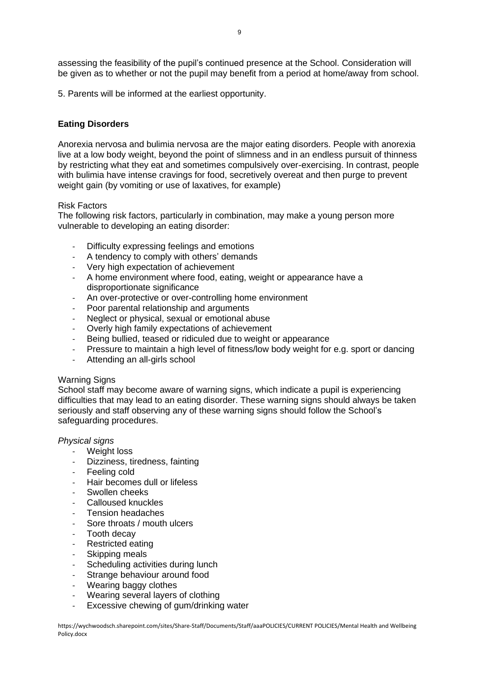assessing the feasibility of the pupil's continued presence at the School. Consideration will be given as to whether or not the pupil may benefit from a period at home/away from school.

5. Parents will be informed at the earliest opportunity.

### **Eating Disorders**

Anorexia nervosa and bulimia nervosa are the major eating disorders. People with anorexia live at a low body weight, beyond the point of slimness and in an endless pursuit of thinness by restricting what they eat and sometimes compulsively over-exercising. In contrast, people with bulimia have intense cravings for food, secretively overeat and then purge to prevent weight gain (by vomiting or use of laxatives, for example)

### Risk Factors

The following risk factors, particularly in combination, may make a young person more vulnerable to developing an eating disorder:

- Difficulty expressing feelings and emotions
- A tendency to comply with others' demands
- Very high expectation of achievement
- A home environment where food, eating, weight or appearance have a disproportionate significance
- An over-protective or over-controlling home environment
- Poor parental relationship and arguments
- Neglect or physical, sexual or emotional abuse
- Overly high family expectations of achievement
- Being bullied, teased or ridiculed due to weight or appearance
- Pressure to maintain a high level of fitness/low body weight for e.g. sport or dancing
- Attending an all-girls school

### Warning Signs

School staff may become aware of warning signs, which indicate a pupil is experiencing difficulties that may lead to an eating disorder. These warning signs should always be taken seriously and staff observing any of these warning signs should follow the School's safeguarding procedures.

### *Physical signs*

- Weight loss
- Dizziness, tiredness, fainting
- Feeling cold
- Hair becomes dull or lifeless
- Swollen cheeks
- Calloused knuckles
- Tension headaches
- Sore throats / mouth ulcers
- Tooth decay
- Restricted eating
- Skipping meals
- Scheduling activities during lunch
- Strange behaviour around food
- Wearing baggy clothes
- Wearing several layers of clothing
- Excessive chewing of gum/drinking water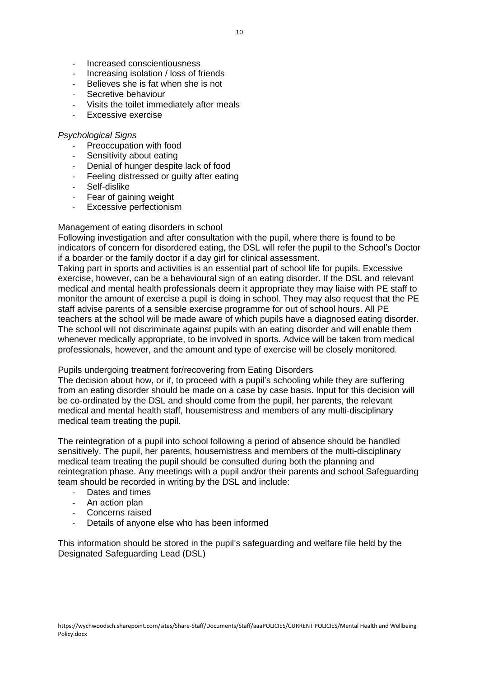- Increased conscientiousness
- Increasing isolation / loss of friends
- Believes she is fat when she is not
- Secretive behaviour
- Visits the toilet immediately after meals
- Excessive exercise

### *Psychological Signs*

- Preoccupation with food
- Sensitivity about eating<br>- Denial of hunger despite
- Denial of hunger despite lack of food
- Feeling distressed or guilty after eating
- Self-dislike
- Fear of gaining weight
- Excessive perfectionism

### Management of eating disorders in school

Following investigation and after consultation with the pupil, where there is found to be indicators of concern for disordered eating, the DSL will refer the pupil to the School's Doctor if a boarder or the family doctor if a day girl for clinical assessment.

Taking part in sports and activities is an essential part of school life for pupils. Excessive exercise, however, can be a behavioural sign of an eating disorder. If the DSL and relevant medical and mental health professionals deem it appropriate they may liaise with PE staff to monitor the amount of exercise a pupil is doing in school. They may also request that the PE staff advise parents of a sensible exercise programme for out of school hours. All PE teachers at the school will be made aware of which pupils have a diagnosed eating disorder. The school will not discriminate against pupils with an eating disorder and will enable them whenever medically appropriate, to be involved in sports. Advice will be taken from medical professionals, however, and the amount and type of exercise will be closely monitored.

### Pupils undergoing treatment for/recovering from Eating Disorders

The decision about how, or if, to proceed with a pupil's schooling while they are suffering from an eating disorder should be made on a case by case basis. Input for this decision will be co-ordinated by the DSL and should come from the pupil, her parents, the relevant medical and mental health staff, housemistress and members of any multi-disciplinary medical team treating the pupil.

The reintegration of a pupil into school following a period of absence should be handled sensitively. The pupil, her parents, housemistress and members of the multi-disciplinary medical team treating the pupil should be consulted during both the planning and reintegration phase. Any meetings with a pupil and/or their parents and school Safeguarding team should be recorded in writing by the DSL and include:

- Dates and times
- An action plan
- Concerns raised
- Details of anyone else who has been informed

This information should be stored in the pupil's safeguarding and welfare file held by the Designated Safeguarding Lead (DSL)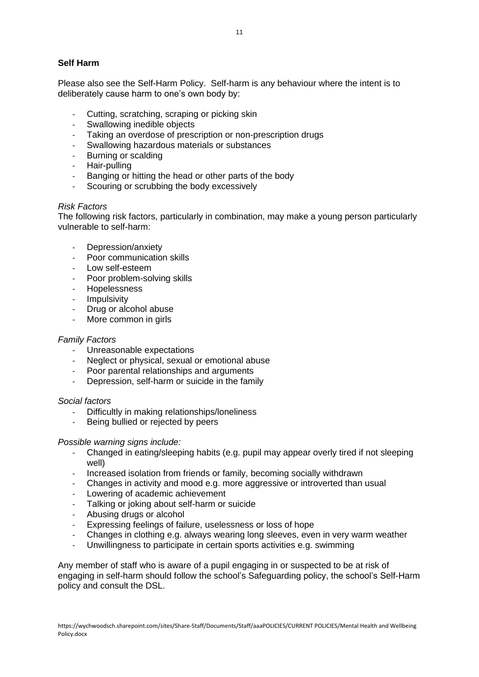Please also see the Self-Harm Policy. Self-harm is any behaviour where the intent is to deliberately cause harm to one's own body by:

- Cutting, scratching, scraping or picking skin
- Swallowing inedible objects
- Taking an overdose of prescription or non-prescription drugs
- Swallowing hazardous materials or substances
- Burning or scalding
- Hair-pulling
- Banging or hitting the head or other parts of the body
- Scouring or scrubbing the body excessively

### *Risk Factors*

The following risk factors, particularly in combination, may make a young person particularly vulnerable to self-harm:

- Depression/anxiety
- Poor communication skills
- Low self-esteem
- Poor problem-solving skills
- Hopelessness
- Impulsivity
- Drug or alcohol abuse
- More common in girls

### *Family Factors*

- Unreasonable expectations
- Neglect or physical, sexual or emotional abuse
- Poor parental relationships and arguments
- Depression, self-harm or suicide in the family

### *Social factors*

- Difficultly in making relationships/loneliness
- Being bullied or rejected by peers

### *Possible warning signs include:*

- Changed in eating/sleeping habits (e.g. pupil may appear overly tired if not sleeping well)
- Increased isolation from friends or family, becoming socially withdrawn
- Changes in activity and mood e.g. more aggressive or introverted than usual
- Lowering of academic achievement
- Talking or joking about self-harm or suicide
- Abusing drugs or alcohol
- Expressing feelings of failure, uselessness or loss of hope
- Changes in clothing e.g. always wearing long sleeves, even in very warm weather
- Unwillingness to participate in certain sports activities e.g. swimming

Any member of staff who is aware of a pupil engaging in or suspected to be at risk of engaging in self-harm should follow the school's Safeguarding policy, the school's Self-Harm policy and consult the DSL.